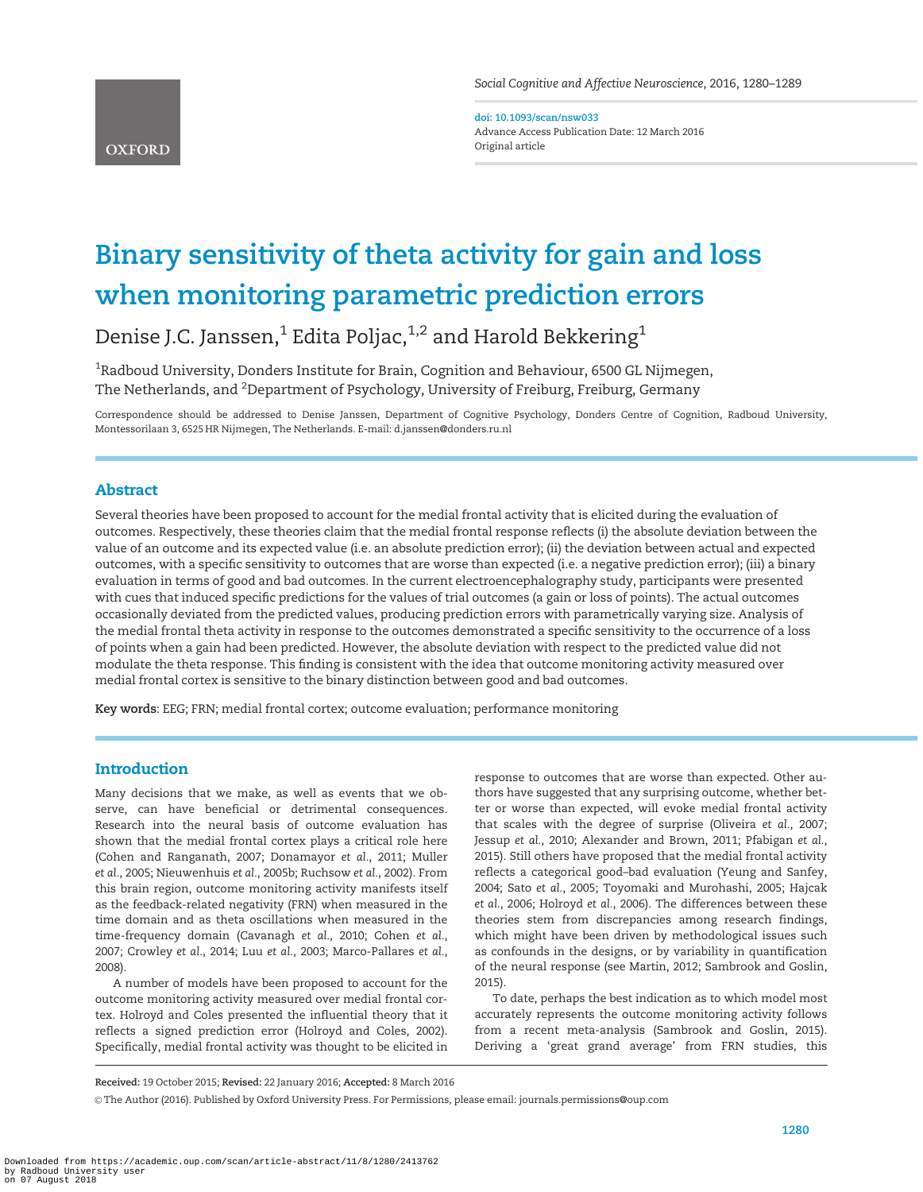doi: 10.1093/scan/nsw033 Advance Access Publication Date: 12 March 2016 Original article

# Binary sensitivity of theta activity for gain and loss when monitoring parametric prediction errors

Denise J.C. Janssen, $^1$  Edita Poljac, $^{1,2}$  and Harold Bekkering<sup>1</sup>

 $^{\rm 1}$ Radboud University, Donders Institute for Brain, Cognition and Behaviour, 6500 GL Nijmegen, The Netherlands, and <sup>2</sup>Department of Psychology, University of Freiburg, Freiburg, Germany

Correspondence should be addressed to Denise Janssen, Department of Cognitive Psychology, Donders Centre of Cognition, Radboud University, Montessorilaan 3, 6525 HR Nijmegen, The Netherlands. E-mail: d.janssen@donders.ru.nl

# Abstract

Several theories have been proposed to account for the medial frontal activity that is elicited during the evaluation of outcomes. Respectively, these theories claim that the medial frontal response reflects (i) the absolute deviation between the value of an outcome and its expected value (i.e. an absolute prediction error); (ii) the deviation between actual and expected outcomes, with a specific sensitivity to outcomes that are worse than expected (i.e. a negative prediction error); (iii) a binary evaluation in terms of good and bad outcomes. In the current electroencephalography study, participants were presented with cues that induced specific predictions for the values of trial outcomes (a gain or loss of points). The actual outcomes occasionally deviated from the predicted values, producing prediction errors with parametrically varying size. Analysis of the medial frontal theta activity in response to the outcomes demonstrated a specific sensitivity to the occurrence of a loss of points when a gain had been predicted. However, the absolute deviation with respect to the predicted value did not modulate the theta response. This finding is consistent with the idea that outcome monitoring activity measured over medial frontal cortex is sensitive to the binary distinction between good and bad outcomes.

Key words: EEG; FRN; medial frontal cortex; outcome evaluation; performance monitoring

# Introduction

Many decisions that we make, as well as events that we observe, can have beneficial or detrimental consequences. Research into the neural basis of outcome evaluation has shown that the medial frontal cortex plays a critical role here [\(Cohen and Ranganath, 2007; Donamayor](#page-8-0) et al., 2011; [Muller](#page-8-0) et al.[, 2005; Nieuwenhuis](#page-8-0) et al., 2005b; [Ruchsow](#page-9-0) et al., 2002). From this brain region, outcome monitoring activity manifests itself as the feedback-related negativity (FRN) when measured in the time domain and as theta oscillations when measured in the time-frequency domain [\(Cavanagh](#page-8-0) et al., 2010; [Cohen](#page-8-0) et al., [2007; Crowley](#page-8-0) et al., 2014; Luu et al.[, 2003](#page-8-0); [Marco-Pallares](#page-8-0) et al., [2008\)](#page-8-0).

A number of models have been proposed to account for the outcome monitoring activity measured over medial frontal cortex. Holroyd and Coles presented the influential theory that it reflects a signed prediction error [\(Holroyd and Coles, 2002\)](#page-8-0). Specifically, medial frontal activity was thought to be elicited in

response to outcomes that are worse than expected. Other authors have suggested that any surprising outcome, whether better or worse than expected, will evoke medial frontal activity that scales with the degree of surprise [\(Oliveira](#page-9-0) et al., 2007; [Jessup](#page-8-0) et al., 2010; [Alexander and Brown, 2011;](#page-8-0) [Pfabigan](#page-9-0) et al., [2015\)](#page-9-0). Still others have proposed that the medial frontal activity reflects a categorical good–bad evaluation [\(Yeung and Sanfey,](#page-9-0) [2004;](#page-9-0) Sato et al.[, 2005](#page-9-0); [Toyomaki and Murohashi, 2005;](#page-9-0) [Hajcak](#page-8-0) et al.[, 2006](#page-8-0); [Holroyd](#page-8-0) et al., 2006). The differences between these theories stem from discrepancies among research findings, which might have been driven by methodological issues such as confounds in the designs, or by variability in quantification of the neural response (see [Martin, 2012](#page-8-0); [Sambrook and Goslin,](#page-9-0) [2015\)](#page-9-0).

To date, perhaps the best indication as to which model most accurately represents the outcome monitoring activity follows from a recent meta-analysis ([Sambrook and Goslin, 2015\)](#page-9-0). Deriving a 'great grand average' from FRN studies, this

Received: 19 October 2015; Revised: 22 January 2016; Accepted: 8 March 2016

V<sup>C</sup> The Author (2016). Published by Oxford University Press. For Permissions, please email: journals.permissions@oup.com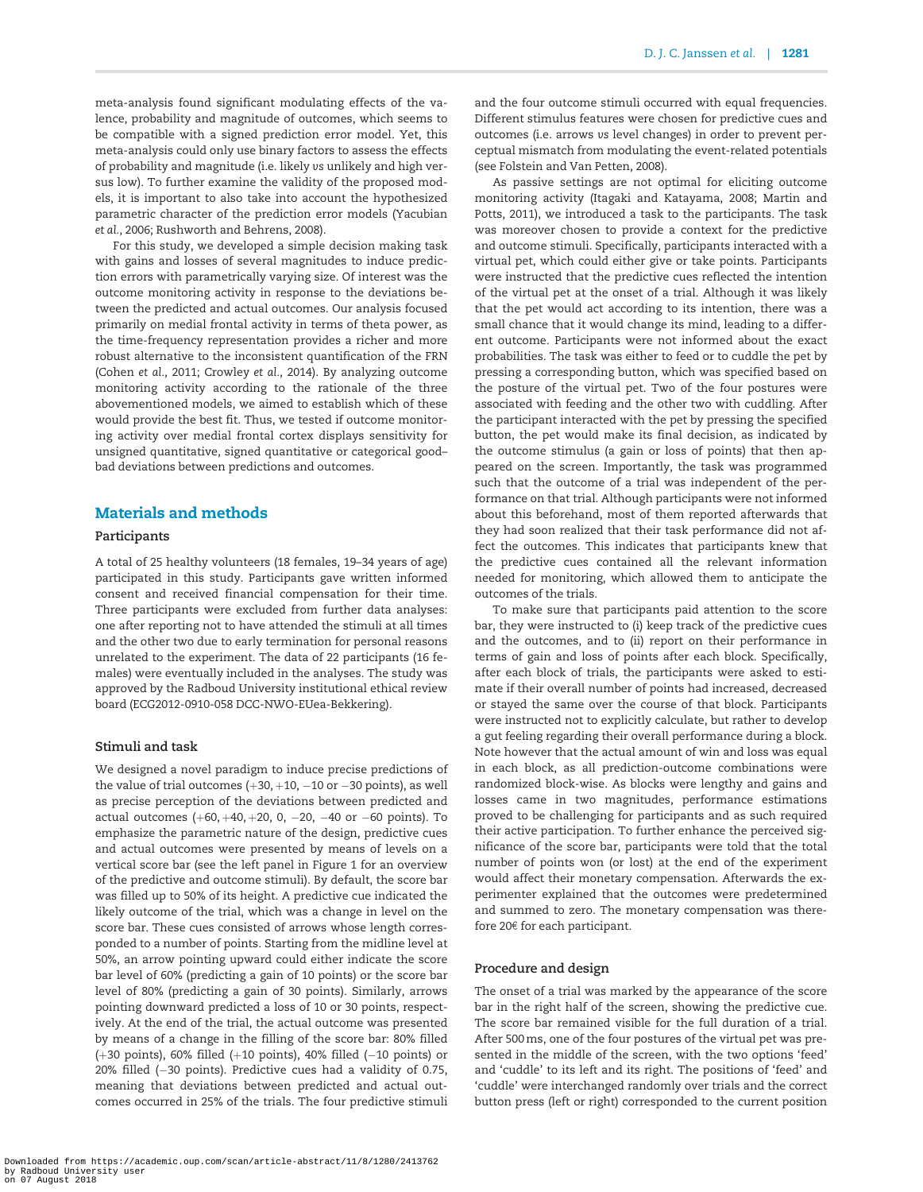meta-analysis found significant modulating effects of the valence, probability and magnitude of outcomes, which seems to be compatible with a signed prediction error model. Yet, this meta-analysis could only use binary factors to assess the effects of probability and magnitude (i.e. likely vs unlikely and high versus low). To further examine the validity of the proposed models, it is important to also take into account the hypothesized parametric character of the prediction error models ([Yacubian](#page-9-0) et al.[, 2006; Rushworth and Behrens, 2008](#page-9-0)).

For this study, we developed a simple decision making task with gains and losses of several magnitudes to induce prediction errors with parametrically varying size. Of interest was the outcome monitoring activity in response to the deviations between the predicted and actual outcomes. Our analysis focused primarily on medial frontal activity in terms of theta power, as the time-frequency representation provides a richer and more robust alternative to the inconsistent quantification of the FRN [\(Cohen](#page-8-0) et al., 2011; [Crowley](#page-8-0) et al., 2014). By analyzing outcome monitoring activity according to the rationale of the three abovementioned models, we aimed to establish which of these would provide the best fit. Thus, we tested if outcome monitoring activity over medial frontal cortex displays sensitivity for unsigned quantitative, signed quantitative or categorical good– bad deviations between predictions and outcomes.

# Materials and methods

#### Participants

A total of 25 healthy volunteers (18 females, 19–34 years of age) participated in this study. Participants gave written informed consent and received financial compensation for their time. Three participants were excluded from further data analyses: one after reporting not to have attended the stimuli at all times and the other two due to early termination for personal reasons unrelated to the experiment. The data of 22 participants (16 females) were eventually included in the analyses. The study was approved by the Radboud University institutional ethical review board (ECG2012-0910-058 DCC-NWO-EUea-Bekkering).

#### Stimuli and task

We designed a novel paradigm to induce precise predictions of the value of trial outcomes (+30, +10,  $-$ 10 or  $-$ 30 points), as well as precise perception of the deviations between predicted and actual outcomes (+60,+40,+20, 0, –20, –40 or –60 points). To emphasize the parametric nature of the design, predictive cues and actual outcomes were presented by means of levels on a vertical score bar (see the left panel in [Figure 1](#page-2-0) for an overview of the predictive and outcome stimuli). By default, the score bar was filled up to 50% of its height. A predictive cue indicated the likely outcome of the trial, which was a change in level on the score bar. These cues consisted of arrows whose length corresponded to a number of points. Starting from the midline level at 50%, an arrow pointing upward could either indicate the score bar level of 60% (predicting a gain of 10 points) or the score bar level of 80% (predicting a gain of 30 points). Similarly, arrows pointing downward predicted a loss of 10 or 30 points, respectively. At the end of the trial, the actual outcome was presented by means of a change in the filling of the score bar: 80% filled (+30 points), 60% filled (+10 points), 40% filled (–10 points) or 20% filled (-30 points). Predictive cues had a validity of 0.75, meaning that deviations between predicted and actual outcomes occurred in 25% of the trials. The four predictive stimuli

and the four outcome stimuli occurred with equal frequencies. Different stimulus features were chosen for predictive cues and outcomes (i.e. arrows vs level changes) in order to prevent perceptual mismatch from modulating the event-related potentials (see [Folstein and Van Petten, 2008\)](#page-8-0).

As passive settings are not optimal for eliciting outcome monitoring activity ([Itagaki and Katayama, 2008; Martin and](#page-8-0) [Potts, 2011\)](#page-8-0), we introduced a task to the participants. The task was moreover chosen to provide a context for the predictive and outcome stimuli. Specifically, participants interacted with a virtual pet, which could either give or take points. Participants were instructed that the predictive cues reflected the intention of the virtual pet at the onset of a trial. Although it was likely that the pet would act according to its intention, there was a small chance that it would change its mind, leading to a different outcome. Participants were not informed about the exact probabilities. The task was either to feed or to cuddle the pet by pressing a corresponding button, which was specified based on the posture of the virtual pet. Two of the four postures were associated with feeding and the other two with cuddling. After the participant interacted with the pet by pressing the specified button, the pet would make its final decision, as indicated by the outcome stimulus (a gain or loss of points) that then appeared on the screen. Importantly, the task was programmed such that the outcome of a trial was independent of the performance on that trial. Although participants were not informed about this beforehand, most of them reported afterwards that they had soon realized that their task performance did not affect the outcomes. This indicates that participants knew that the predictive cues contained all the relevant information needed for monitoring, which allowed them to anticipate the outcomes of the trials.

To make sure that participants paid attention to the score bar, they were instructed to (i) keep track of the predictive cues and the outcomes, and to (ii) report on their performance in terms of gain and loss of points after each block. Specifically, after each block of trials, the participants were asked to estimate if their overall number of points had increased, decreased or stayed the same over the course of that block. Participants were instructed not to explicitly calculate, but rather to develop a gut feeling regarding their overall performance during a block. Note however that the actual amount of win and loss was equal in each block, as all prediction-outcome combinations were randomized block-wise. As blocks were lengthy and gains and losses came in two magnitudes, performance estimations proved to be challenging for participants and as such required their active participation. To further enhance the perceived significance of the score bar, participants were told that the total number of points won (or lost) at the end of the experiment would affect their monetary compensation. Afterwards the experimenter explained that the outcomes were predetermined and summed to zero. The monetary compensation was therefore 20€ for each participant.

#### Procedure and design

The onset of a trial was marked by the appearance of the score bar in the right half of the screen, showing the predictive cue. The score bar remained visible for the full duration of a trial. After 500 ms, one of the four postures of the virtual pet was presented in the middle of the screen, with the two options 'feed' and 'cuddle' to its left and its right. The positions of 'feed' and 'cuddle' were interchanged randomly over trials and the correct button press (left or right) corresponded to the current position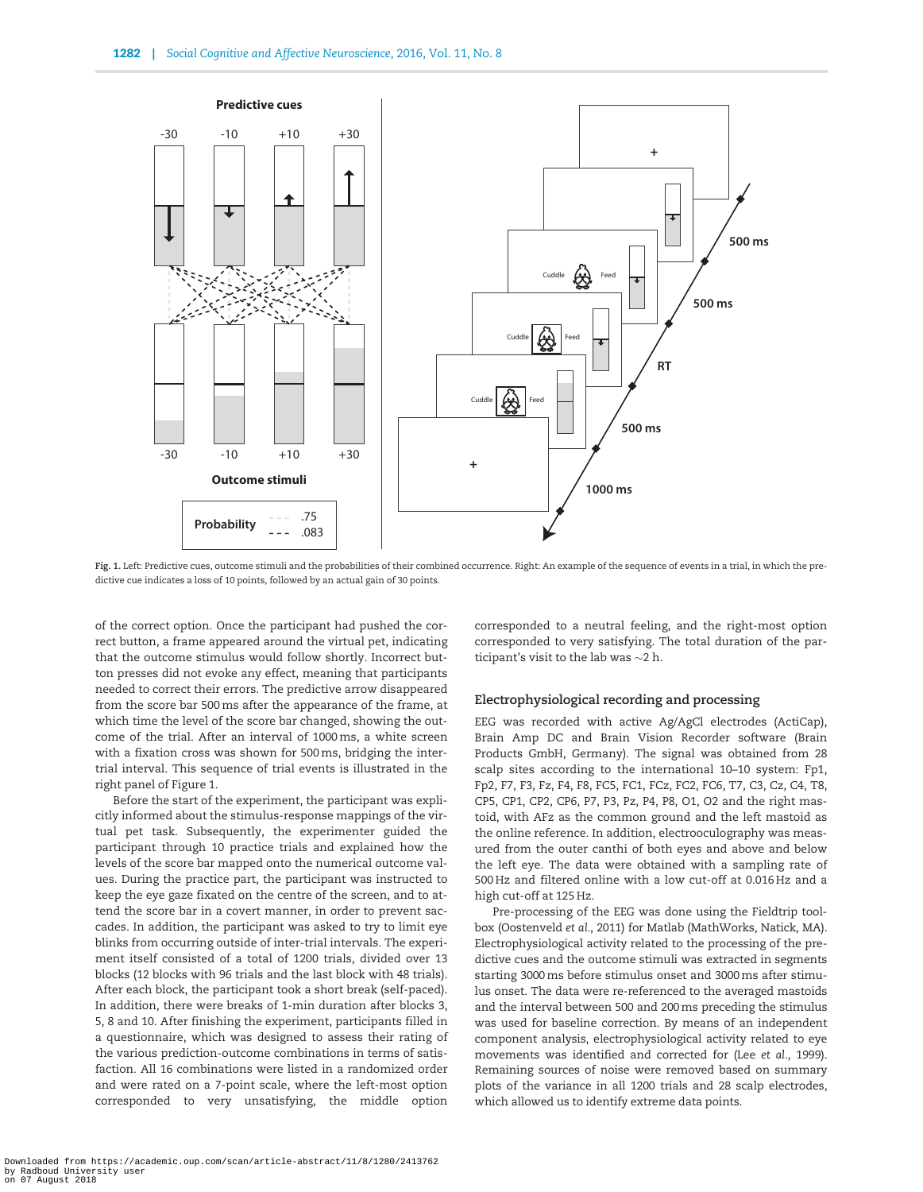<span id="page-2-0"></span>

Fig. 1. Left: Predictive cues, outcome stimuli and the probabilities of their combined occurrence. Right: An example of the sequence of events in a trial, in which the predictive cue indicates a loss of 10 points, followed by an actual gain of 30 points.

of the correct option. Once the participant had pushed the correct button, a frame appeared around the virtual pet, indicating that the outcome stimulus would follow shortly. Incorrect button presses did not evoke any effect, meaning that participants needed to correct their errors. The predictive arrow disappeared from the score bar 500 ms after the appearance of the frame, at which time the level of the score bar changed, showing the outcome of the trial. After an interval of 1000 ms, a white screen with a fixation cross was shown for 500 ms, bridging the intertrial interval. This sequence of trial events is illustrated in the right panel of Figure 1.

Before the start of the experiment, the participant was explicitly informed about the stimulus-response mappings of the virtual pet task. Subsequently, the experimenter guided the participant through 10 practice trials and explained how the levels of the score bar mapped onto the numerical outcome values. During the practice part, the participant was instructed to keep the eye gaze fixated on the centre of the screen, and to attend the score bar in a covert manner, in order to prevent saccades. In addition, the participant was asked to try to limit eye blinks from occurring outside of inter-trial intervals. The experiment itself consisted of a total of 1200 trials, divided over 13 blocks (12 blocks with 96 trials and the last block with 48 trials). After each block, the participant took a short break (self-paced). In addition, there were breaks of 1-min duration after blocks 3, 5, 8 and 10. After finishing the experiment, participants filled in a questionnaire, which was designed to assess their rating of the various prediction-outcome combinations in terms of satisfaction. All 16 combinations were listed in a randomized order and were rated on a 7-point scale, where the left-most option corresponded to very unsatisfying, the middle option

corresponded to a neutral feeling, and the right-most option corresponded to very satisfying. The total duration of the participant's visit to the lab was  $\sim$ 2 h.

# Electrophysiological recording and processing

EEG was recorded with active Ag/AgCl electrodes (ActiCap), Brain Amp DC and Brain Vision Recorder software (Brain Products GmbH, Germany). The signal was obtained from 28 scalp sites according to the international 10–10 system: Fp1, Fp2, F7, F3, Fz, F4, F8, FC5, FC1, FCz, FC2, FC6, T7, C3, Cz, C4, T8, CP5, CP1, CP2, CP6, P7, P3, Pz, P4, P8, O1, O2 and the right mastoid, with AFz as the common ground and the left mastoid as the online reference. In addition, electrooculography was measured from the outer canthi of both eyes and above and below the left eye. The data were obtained with a sampling rate of 500 Hz and filtered online with a low cut-off at 0.016 Hz and a high cut-off at 125 Hz.

Pre-processing of the EEG was done using the Fieldtrip toolbox ([Oostenveld](#page-9-0) et al., 2011) for Matlab (MathWorks, Natick, MA). Electrophysiological activity related to the processing of the predictive cues and the outcome stimuli was extracted in segments starting 3000 ms before stimulus onset and 3000 ms after stimulus onset. The data were re-referenced to the averaged mastoids and the interval between 500 and 200 ms preceding the stimulus was used for baseline correction. By means of an independent component analysis, electrophysiological activity related to eye movements was identified and corrected for (Lee et al.[, 1999\)](#page-8-0). Remaining sources of noise were removed based on summary plots of the variance in all 1200 trials and 28 scalp electrodes, which allowed us to identify extreme data points.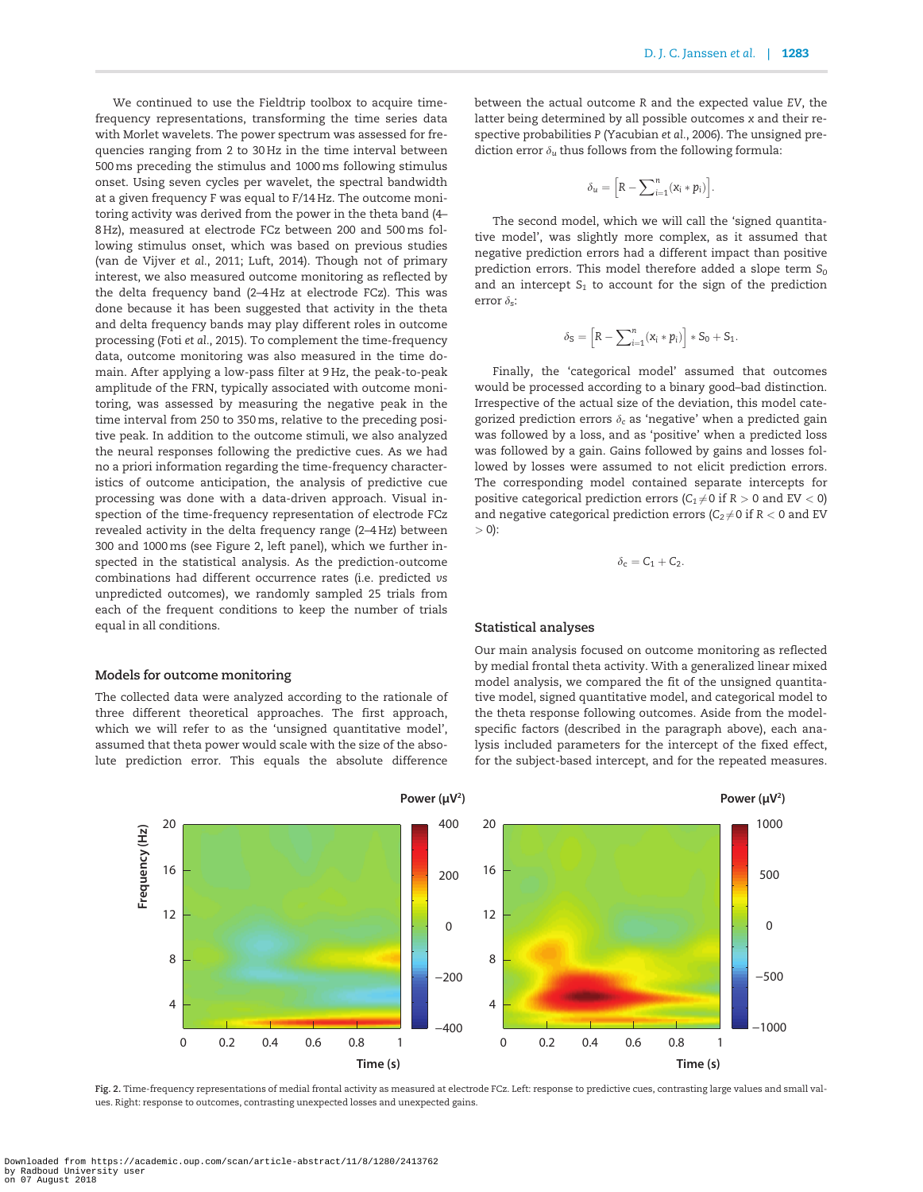<span id="page-3-0"></span>We continued to use the Fieldtrip toolbox to acquire timefrequency representations, transforming the time series data with Morlet wavelets. The power spectrum was assessed for frequencies ranging from 2 to 30 Hz in the time interval between 500 ms preceding the stimulus and 1000 ms following stimulus onset. Using seven cycles per wavelet, the spectral bandwidth at a given frequency F was equal to F/14 Hz. The outcome monitoring activity was derived from the power in the theta band (4– 8 Hz), measured at electrode FCz between 200 and 500 ms following stimulus onset, which was based on previous studies [\(van de Vijver](#page-9-0) et al., 2011; [Luft, 2014\)](#page-8-0). Though not of primary interest, we also measured outcome monitoring as reflected by the delta frequency band (2–4 Hz at electrode FCz). This was done because it has been suggested that activity in the theta and delta frequency bands may play different roles in outcome processing (Foti et al.[, 2015\)](#page-8-0). To complement the time-frequency data, outcome monitoring was also measured in the time domain. After applying a low-pass filter at 9 Hz, the peak-to-peak amplitude of the FRN, typically associated with outcome monitoring, was assessed by measuring the negative peak in the time interval from 250 to 350 ms, relative to the preceding positive peak. In addition to the outcome stimuli, we also analyzed the neural responses following the predictive cues. As we had no a priori information regarding the time-frequency characteristics of outcome anticipation, the analysis of predictive cue processing was done with a data-driven approach. Visual inspection of the time-frequency representation of electrode FCz revealed activity in the delta frequency range (2–4 Hz) between 300 and 1000 ms (see Figure 2, left panel), which we further inspected in the statistical analysis. As the prediction-outcome combinations had different occurrence rates (i.e. predicted vs unpredicted outcomes), we randomly sampled 25 trials from each of the frequent conditions to keep the number of trials equal in all conditions.

#### Models for outcome monitoring

The collected data were analyzed according to the rationale of three different theoretical approaches. The first approach, which we will refer to as the 'unsigned quantitative model', assumed that theta power would scale with the size of the absolute prediction error. This equals the absolute difference

between the actual outcome R and the expected value EV, the latter being determined by all possible outcomes x and their respective probabilities P ([Yacubian](#page-9-0) et al., 2006). The unsigned prediction error  $\delta_u$  thus follows from the following formula:

$$
\delta_u = \Big[R - \sum\nolimits_{i=1}^n (x_i * p_i)\Big].
$$

The second model, which we will call the 'signed quantitative model', was slightly more complex, as it assumed that negative prediction errors had a different impact than positive prediction errors. This model therefore added a slope term  $S_0$ and an intercept  $S_1$  to account for the sign of the prediction error  $\delta_{\rm s}$ :

$$
\delta_S = \left[R - \sum\nolimits_{i=1}^n (x_i * p_i)\right] * S_0 + S_1.
$$

Finally, the 'categorical model' assumed that outcomes would be processed according to a binary good–bad distinction. Irrespective of the actual size of the deviation, this model categorized prediction errors  $\delta_c$  as 'negative' when a predicted gain was followed by a loss, and as 'positive' when a predicted loss was followed by a gain. Gains followed by gains and losses followed by losses were assumed to not elicit prediction errors. The corresponding model contained separate intercepts for positive categorical prediction errors ( $C_1 \neq 0$  if  $R > 0$  and EV < 0) and negative categorical prediction errors ( $C_2 \neq 0$  if  $R < 0$  and EV  $> 0$ ):

$$
\delta_c = C_1 + C_2.
$$

#### Statistical analyses

Our main analysis focused on outcome monitoring as reflected by medial frontal theta activity. With a generalized linear mixed model analysis, we compared the fit of the unsigned quantitative model, signed quantitative model, and categorical model to the theta response following outcomes. Aside from the modelspecific factors (described in the paragraph above), each analysis included parameters for the intercept of the fixed effect, for the subject-based intercept, and for the repeated measures.



Fig. 2. Time-frequency representations of medial frontal activity as measured at electrode FCz. Left: response to predictive cues, contrasting large values and small values. Right: response to outcomes, contrasting unexpected losses and unexpected gains.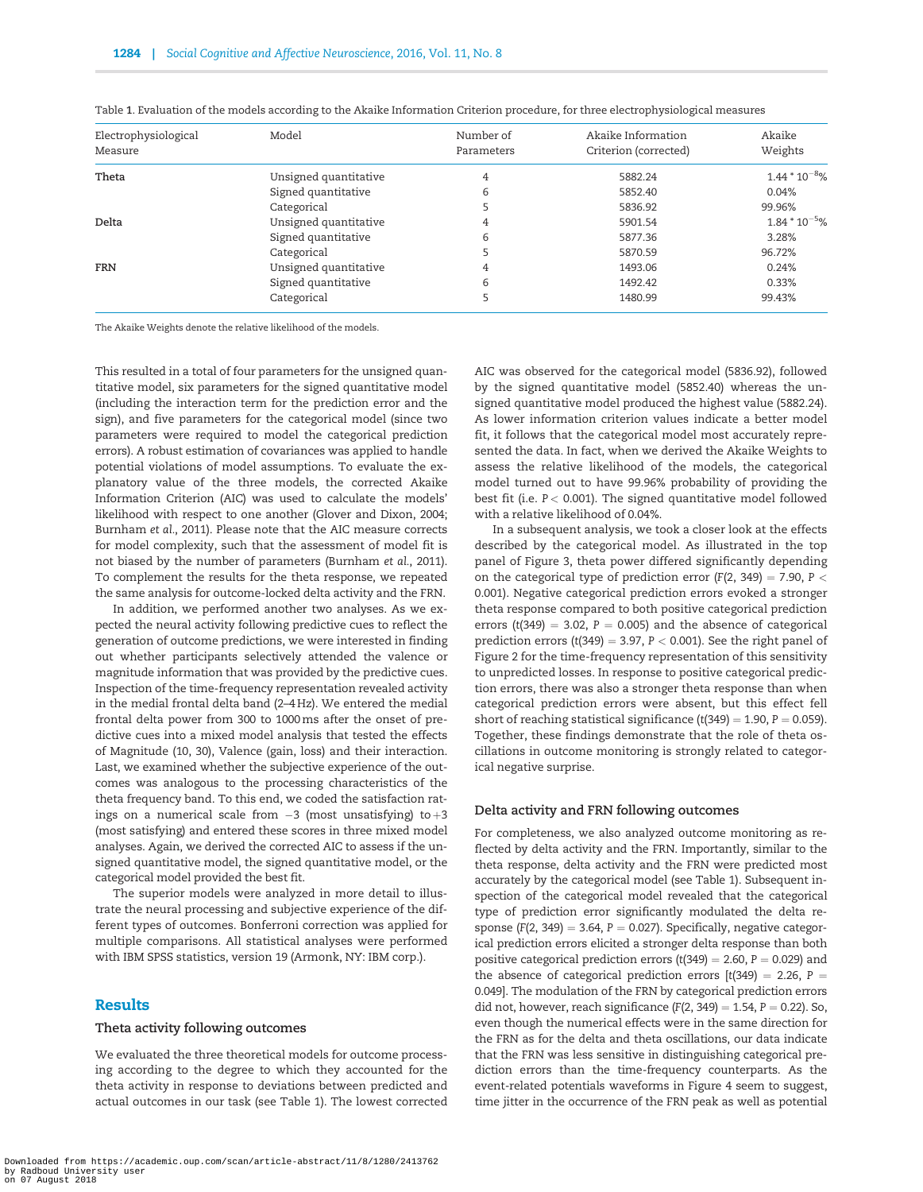| Electrophysiological<br>Measure | Model                 | Number of<br>Parameters | Akaike Information<br>Criterion (corrected) | Akaike<br>Weights  |
|---------------------------------|-----------------------|-------------------------|---------------------------------------------|--------------------|
| Theta                           | Unsigned quantitative | 4                       | 5882.24                                     | $1.44*10^{-8}%$    |
|                                 | Signed quantitative   | 6                       | 5852.40                                     | 0.04%              |
|                                 | Categorical           |                         | 5836.92                                     | 99.96%             |
| Delta                           | Unsigned quantitative | 4                       | 5901.54                                     | $1.84 * 10^{-5}$ % |
|                                 | Signed quantitative   | 6                       | 5877.36                                     | 3.28%              |
|                                 | Categorical           |                         | 5870.59                                     | 96.72%             |
| <b>FRN</b>                      | Unsigned quantitative | 4                       | 1493.06                                     | 0.24%              |
|                                 | Signed quantitative   | 6                       | 1492.42                                     | 0.33%              |
|                                 | Categorical           |                         | 1480.99                                     | 99.43%             |

Table 1. Evaluation of the models according to the Akaike Information Criterion procedure, for three electrophysiological measures

The Akaike Weights denote the relative likelihood of the models.

This resulted in a total of four parameters for the unsigned quantitative model, six parameters for the signed quantitative model (including the interaction term for the prediction error and the sign), and five parameters for the categorical model (since two parameters were required to model the categorical prediction errors). A robust estimation of covariances was applied to handle potential violations of model assumptions. To evaluate the explanatory value of the three models, the corrected Akaike Information Criterion (AIC) was used to calculate the models' likelihood with respect to one another ([Glover and Dixon, 2004](#page-8-0); [Burnham](#page-8-0) et al., 2011). Please note that the AIC measure corrects for model complexity, such that the assessment of model fit is not biased by the number of parameters [\(Burnham](#page-8-0) et al., 2011). To complement the results for the theta response, we repeated the same analysis for outcome-locked delta activity and the FRN.

In addition, we performed another two analyses. As we expected the neural activity following predictive cues to reflect the generation of outcome predictions, we were interested in finding out whether participants selectively attended the valence or magnitude information that was provided by the predictive cues. Inspection of the time-frequency representation revealed activity in the medial frontal delta band (2–4 Hz). We entered the medial frontal delta power from 300 to 1000 ms after the onset of predictive cues into a mixed model analysis that tested the effects of Magnitude (10, 30), Valence (gain, loss) and their interaction. Last, we examined whether the subjective experience of the outcomes was analogous to the processing characteristics of the theta frequency band. To this end, we coded the satisfaction ratings on a numerical scale from  $-3$  (most unsatisfying) to $+3$ (most satisfying) and entered these scores in three mixed model analyses. Again, we derived the corrected AIC to assess if the unsigned quantitative model, the signed quantitative model, or the categorical model provided the best fit.

The superior models were analyzed in more detail to illustrate the neural processing and subjective experience of the different types of outcomes. Bonferroni correction was applied for multiple comparisons. All statistical analyses were performed with IBM SPSS statistics, version 19 (Armonk, NY: IBM corp.).

# Results

#### Theta activity following outcomes

We evaluated the three theoretical models for outcome processing according to the degree to which they accounted for the theta activity in response to deviations between predicted and actual outcomes in our task (see Table 1). The lowest corrected

AIC was observed for the categorical model (5836.92), followed by the signed quantitative model (5852.40) whereas the unsigned quantitative model produced the highest value (5882.24). As lower information criterion values indicate a better model fit, it follows that the categorical model most accurately represented the data. In fact, when we derived the Akaike Weights to assess the relative likelihood of the models, the categorical model turned out to have 99.96% probability of providing the best fit (i.e.  $P < 0.001$ ). The signed quantitative model followed with a relative likelihood of 0.04%.

In a subsequent analysis, we took a closer look at the effects described by the categorical model. As illustrated in the top panel of [Figure 3](#page-5-0), theta power differed significantly depending on the categorical type of prediction error (F(2, 349) = 7.90, P < 0.001). Negative categorical prediction errors evoked a stronger theta response compared to both positive categorical prediction errors (t(349) = 3.02,  $P = 0.005$ ) and the absence of categorical prediction errors (t(349) = 3.97,  $P < 0.001$ ). See the right panel of [Figure 2](#page-3-0) for the time-frequency representation of this sensitivity to unpredicted losses. In response to positive categorical prediction errors, there was also a stronger theta response than when categorical prediction errors were absent, but this effect fell short of reaching statistical significance (t(349) = 1.90,  $P = 0.059$ ). Together, these findings demonstrate that the role of theta oscillations in outcome monitoring is strongly related to categorical negative surprise.

#### Delta activity and FRN following outcomes

For completeness, we also analyzed outcome monitoring as reflected by delta activity and the FRN. Importantly, similar to the theta response, delta activity and the FRN were predicted most accurately by the categorical model (see Table 1). Subsequent inspection of the categorical model revealed that the categorical type of prediction error significantly modulated the delta response (F(2, 349) = 3.64, P = 0.027). Specifically, negative categorical prediction errors elicited a stronger delta response than both positive categorical prediction errors (t(349) = 2.60,  $P = 0.029$ ) and the absence of categorical prediction errors [t(349) = 2.26, P = 0.049]. The modulation of the FRN by categorical prediction errors did not, however, reach significance  $(F(2, 349) = 1.54, P = 0.22)$ . So, even though the numerical effects were in the same direction for the FRN as for the delta and theta oscillations, our data indicate that the FRN was less sensitive in distinguishing categorical prediction errors than the time-frequency counterparts. As the event-related potentials waveforms in [Figure 4](#page-6-0) seem to suggest, time jitter in the occurrence of the FRN peak as well as potential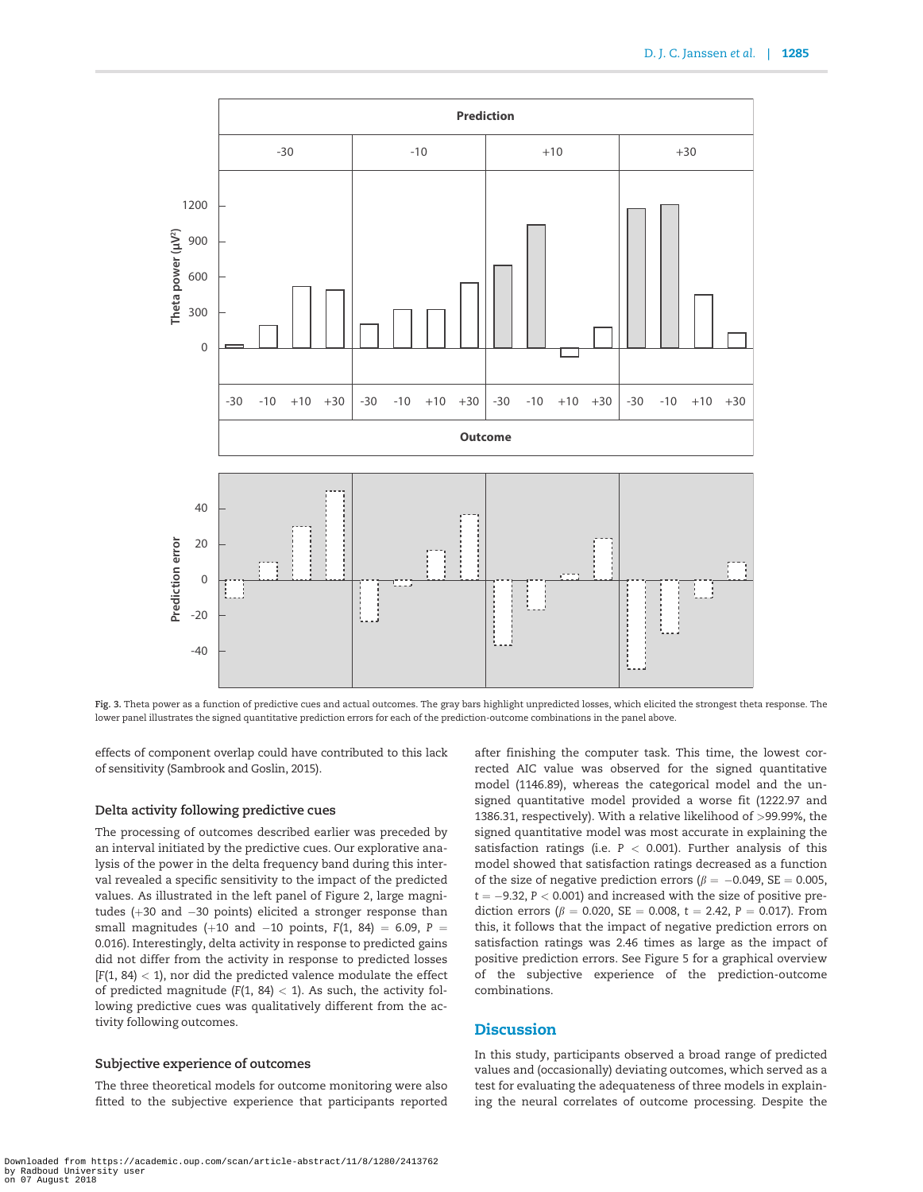<span id="page-5-0"></span>

Fig. 3. Theta power as a function of predictive cues and actual outcomes. The gray bars highlight unpredicted losses, which elicited the strongest theta response. The lower panel illustrates the signed quantitative prediction errors for each of the prediction-outcome combinations in the panel above.

effects of component overlap could have contributed to this lack of sensitivity [\(Sambrook and Goslin, 2015](#page-9-0)).

## Delta activity following predictive cues

The processing of outcomes described earlier was preceded by an interval initiated by the predictive cues. Our explorative analysis of the power in the delta frequency band during this interval revealed a specific sensitivity to the impact of the predicted values. As illustrated in the left panel of [Figure 2](#page-3-0), large magnitudes (+30 and –30 points) elicited a stronger response than small magnitudes (+10 and  $-10$  points, F(1, 84)  $=$  6.09, P  $=$ 0.016). Interestingly, delta activity in response to predicted gains did not differ from the activity in response to predicted losses  $[F(1, 84) < 1]$ , nor did the predicted valence modulate the effect of predicted magnitude ( $F(1, 84) < 1$ ). As such, the activity following predictive cues was qualitatively different from the activity following outcomes.

## Subjective experience of outcomes

The three theoretical models for outcome monitoring were also fitted to the subjective experience that participants reported after finishing the computer task. This time, the lowest corrected AIC value was observed for the signed quantitative model (1146.89), whereas the categorical model and the unsigned quantitative model provided a worse fit (1222.97 and 1386.31, respectively). With a relative likelihood of >99.99%, the signed quantitative model was most accurate in explaining the satisfaction ratings (i.e.  $P < 0.001$ ). Further analysis of this model showed that satisfaction ratings decreased as a function of the size of negative prediction errors ( $\beta = -0.049$ , SE = 0.005,  $t = -9.32$ , P  $< 0.001$ ) and increased with the size of positive prediction errors ( $\beta = 0.020$ , SE = 0.008, t = 2.42, P = 0.017). From this, it follows that the impact of negative prediction errors on satisfaction ratings was 2.46 times as large as the impact of positive prediction errors. See [Figure 5](#page-7-0) for a graphical overview of the subjective experience of the prediction-outcome combinations.

# **Discussion**

In this study, participants observed a broad range of predicted values and (occasionally) deviating outcomes, which served as a test for evaluating the adequateness of three models in explaining the neural correlates of outcome processing. Despite the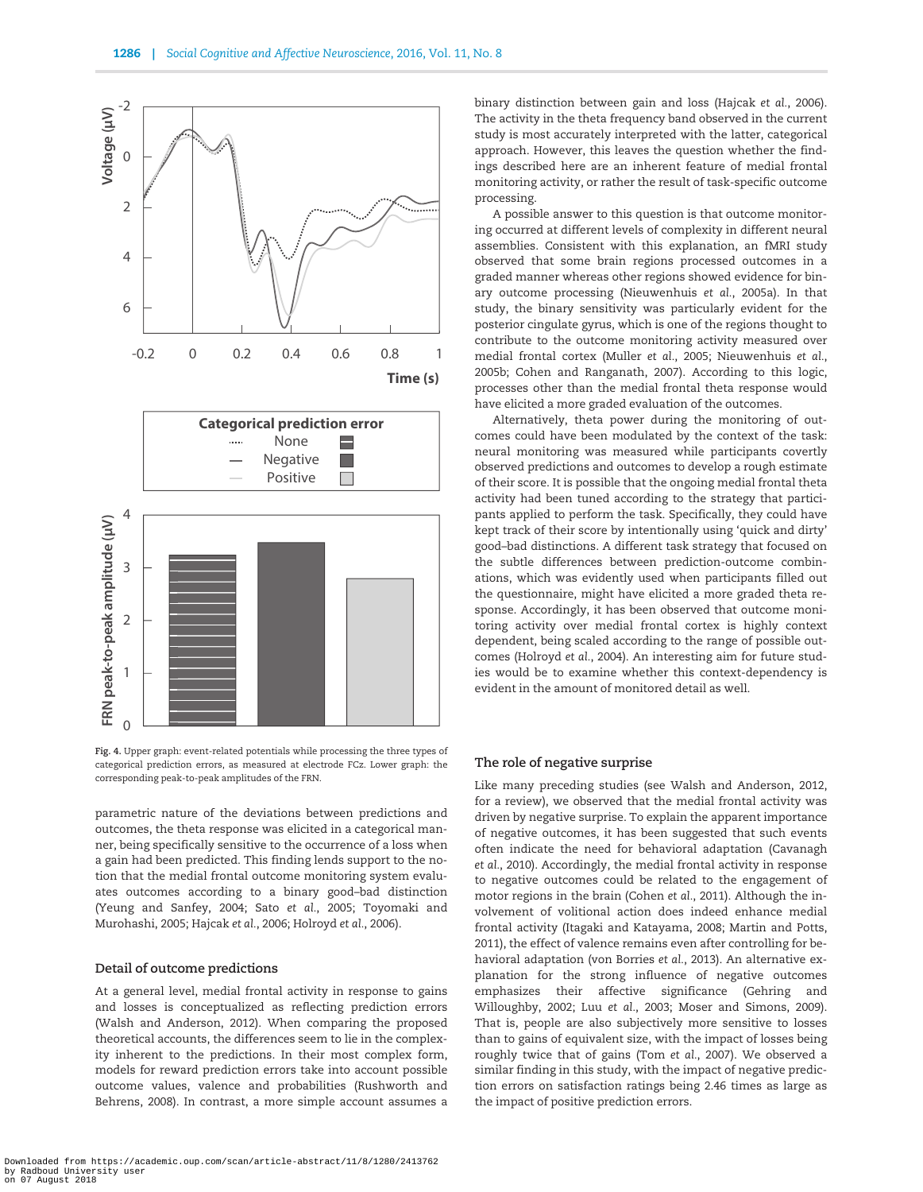<span id="page-6-0"></span>



Fig. 4. Upper graph: event-related potentials while processing the three types of categorical prediction errors, as measured at electrode FCz. Lower graph: the corresponding peak-to-peak amplitudes of the FRN.

parametric nature of the deviations between predictions and outcomes, the theta response was elicited in a categorical manner, being specifically sensitive to the occurrence of a loss when a gain had been predicted. This finding lends support to the notion that the medial frontal outcome monitoring system evaluates outcomes according to a binary good–bad distinction [\(Yeung and Sanfey, 2004](#page-9-0); Sato et al.[, 2005; Toyomaki and](#page-9-0) [Murohashi, 2005](#page-9-0); [Hajcak](#page-8-0) et al., 2006; [Holroyd](#page-8-0) et al., 2006).

#### Detail of outcome predictions

At a general level, medial frontal activity in response to gains and losses is conceptualized as reflecting prediction errors [\(Walsh and Anderson, 2012](#page-9-0)). When comparing the proposed theoretical accounts, the differences seem to lie in the complexity inherent to the predictions. In their most complex form, models for reward prediction errors take into account possible outcome values, valence and probabilities [\(Rushworth and](#page-9-0) [Behrens, 2008\)](#page-9-0). In contrast, a more simple account assumes a binary distinction between gain and loss ([Hajcak](#page-8-0) et al., 2006). The activity in the theta frequency band observed in the current study is most accurately interpreted with the latter, categorical approach. However, this leaves the question whether the findings described here are an inherent feature of medial frontal monitoring activity, or rather the result of task-specific outcome processing.

A possible answer to this question is that outcome monitoring occurred at different levels of complexity in different neural assemblies. Consistent with this explanation, an fMRI study observed that some brain regions processed outcomes in a graded manner whereas other regions showed evidence for binary outcome processing ([Nieuwenhuis](#page-8-0) et al., 2005a). In that study, the binary sensitivity was particularly evident for the posterior cingulate gyrus, which is one of the regions thought to contribute to the outcome monitoring activity measured over medial frontal cortex [\(Muller](#page-8-0) et al., 2005; [Nieuwenhuis](#page-8-0) et al., [2005b](#page-8-0); [Cohen and Ranganath, 2007\)](#page-8-0). According to this logic, processes other than the medial frontal theta response would have elicited a more graded evaluation of the outcomes.

Alternatively, theta power during the monitoring of outcomes could have been modulated by the context of the task: neural monitoring was measured while participants covertly observed predictions and outcomes to develop a rough estimate of their score. It is possible that the ongoing medial frontal theta activity had been tuned according to the strategy that participants applied to perform the task. Specifically, they could have kept track of their score by intentionally using 'quick and dirty' good–bad distinctions. A different task strategy that focused on the subtle differences between prediction-outcome combinations, which was evidently used when participants filled out the questionnaire, might have elicited a more graded theta response. Accordingly, it has been observed that outcome monitoring activity over medial frontal cortex is highly context dependent, being scaled according to the range of possible outcomes ([Holroyd](#page-8-0) et al., 2004). An interesting aim for future studies would be to examine whether this context-dependency is evident in the amount of monitored detail as well.

#### The role of negative surprise

Like many preceding studies (see [Walsh and Anderson, 2012](#page-9-0), for a review), we observed that the medial frontal activity was driven by negative surprise. To explain the apparent importance of negative outcomes, it has been suggested that such events often indicate the need for behavioral adaptation ([Cavanagh](#page-8-0) et al.[, 2010\)](#page-8-0). Accordingly, the medial frontal activity in response to negative outcomes could be related to the engagement of motor regions in the brain [\(Cohen](#page-8-0) et al., 2011). Although the involvement of volitional action does indeed enhance medial frontal activity ([Itagaki and Katayama, 2008](#page-8-0); [Martin and Potts,](#page-8-0) [2011\)](#page-8-0), the effect of valence remains even after controlling for behavioral adaptation ([von Borries](#page-9-0) et al., 2013). An alternative explanation for the strong influence of negative outcomes emphasizes their affective significance ([Gehring and](#page-8-0) [Willoughby, 2002;](#page-8-0) Luu et al.[, 2003](#page-8-0); [Moser and Simons, 2009\)](#page-8-0). That is, people are also subjectively more sensitive to losses than to gains of equivalent size, with the impact of losses being roughly twice that of gains (Tom et al.[, 2007\)](#page-9-0). We observed a similar finding in this study, with the impact of negative prediction errors on satisfaction ratings being 2.46 times as large as the impact of positive prediction errors.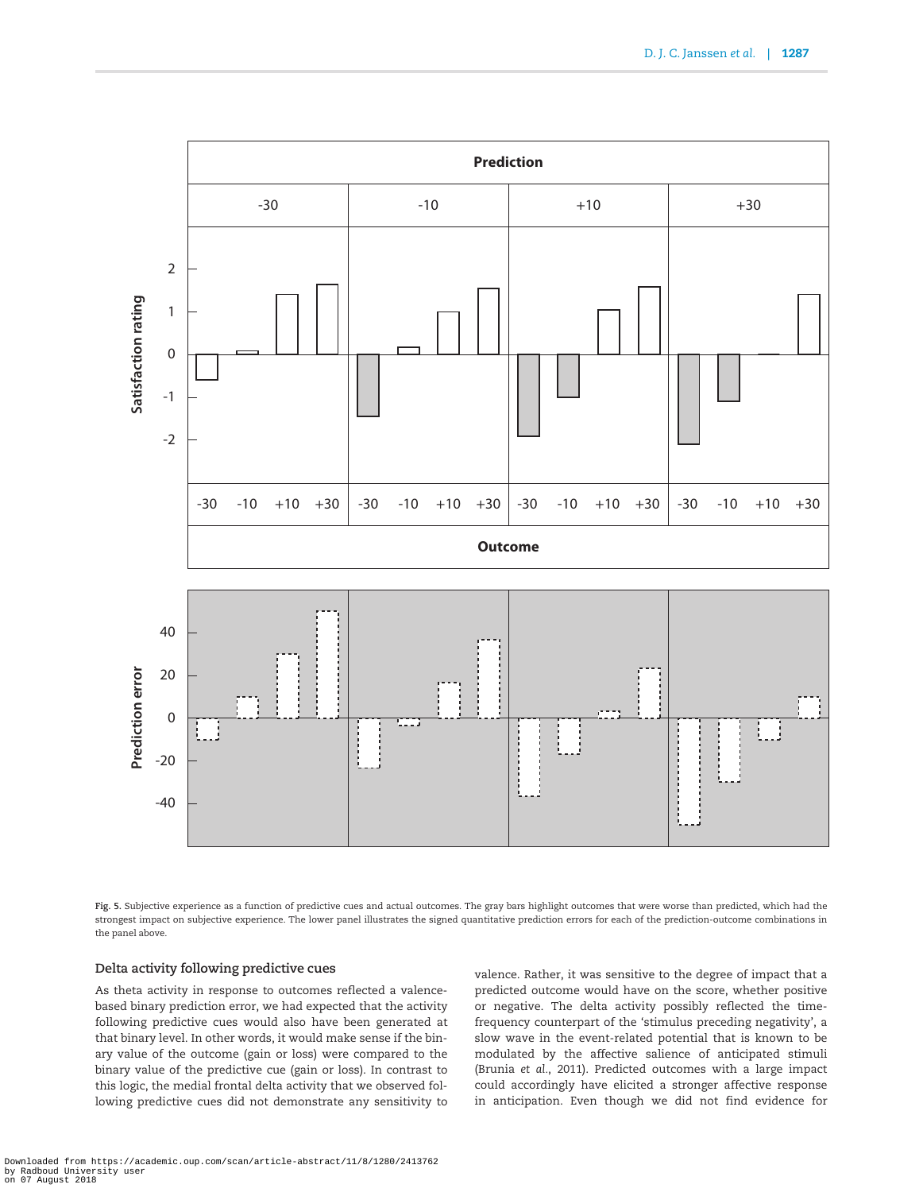<span id="page-7-0"></span>

Fig. 5. Subjective experience as a function of predictive cues and actual outcomes. The gray bars highlight outcomes that were worse than predicted, which had the strongest impact on subjective experience. The lower panel illustrates the signed quantitative prediction errors for each of the prediction-outcome combinations in the panel above.

# Delta activity following predictive cues

As theta activity in response to outcomes reflected a valencebased binary prediction error, we had expected that the activity following predictive cues would also have been generated at that binary level. In other words, it would make sense if the binary value of the outcome (gain or loss) were compared to the binary value of the predictive cue (gain or loss). In contrast to this logic, the medial frontal delta activity that we observed following predictive cues did not demonstrate any sensitivity to valence. Rather, it was sensitive to the degree of impact that a predicted outcome would have on the score, whether positive or negative. The delta activity possibly reflected the timefrequency counterpart of the 'stimulus preceding negativity', a slow wave in the event-related potential that is known to be modulated by the affective salience of anticipated stimuli [\(Brunia](#page-8-0) et al., 2011). Predicted outcomes with a large impact could accordingly have elicited a stronger affective response in anticipation. Even though we did not find evidence for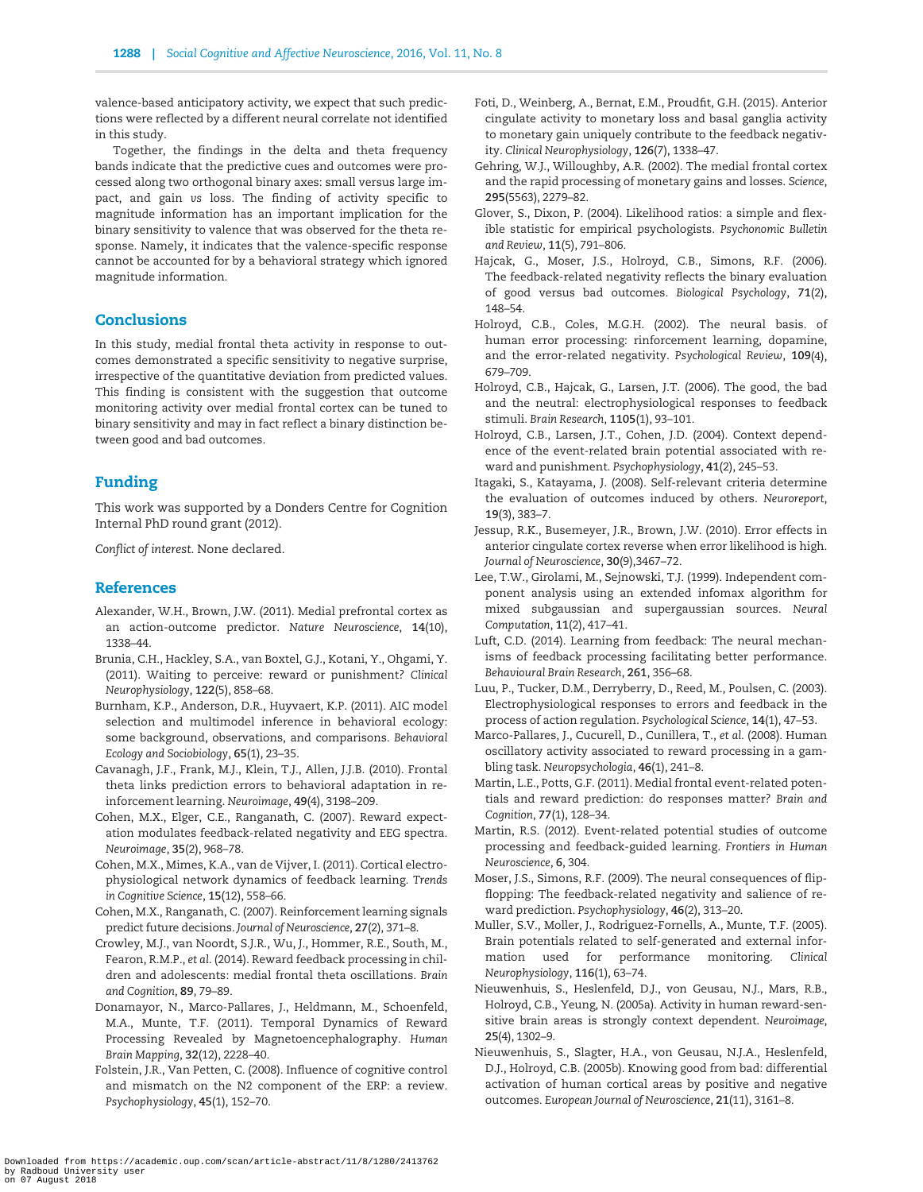<span id="page-8-0"></span>valence-based anticipatory activity, we expect that such predictions were reflected by a different neural correlate not identified in this study.

Together, the findings in the delta and theta frequency bands indicate that the predictive cues and outcomes were processed along two orthogonal binary axes: small versus large impact, and gain vs loss. The finding of activity specific to magnitude information has an important implication for the binary sensitivity to valence that was observed for the theta response. Namely, it indicates that the valence-specific response cannot be accounted for by a behavioral strategy which ignored magnitude information.

# **Conclusions**

In this study, medial frontal theta activity in response to outcomes demonstrated a specific sensitivity to negative surprise, irrespective of the quantitative deviation from predicted values. This finding is consistent with the suggestion that outcome monitoring activity over medial frontal cortex can be tuned to binary sensitivity and may in fact reflect a binary distinction between good and bad outcomes.

# Funding

This work was supported by a Donders Centre for Cognition Internal PhD round grant (2012).

Conflict of interest. None declared.

### References

- Alexander, W.H., Brown, J.W. (2011). Medial prefrontal cortex as an action-outcome predictor. Nature Neuroscience, 14(10), 1338–44.
- Brunia, C.H., Hackley, S.A., van Boxtel, G.J., Kotani, Y., Ohgami, Y. (2011). Waiting to perceive: reward or punishment? Clinical Neurophysiology, 122(5), 858–68.
- Burnham, K.P., Anderson, D.R., Huyvaert, K.P. (2011). AIC model selection and multimodel inference in behavioral ecology: some background, observations, and comparisons. Behavioral Ecology and Sociobiology, 65(1), 23–35.
- Cavanagh, J.F., Frank, M.J., Klein, T.J., Allen, J.J.B. (2010). Frontal theta links prediction errors to behavioral adaptation in reinforcement learning. Neuroimage, 49(4), 3198–209.
- Cohen, M.X., Elger, C.E., Ranganath, C. (2007). Reward expectation modulates feedback-related negativity and EEG spectra. Neuroimage, 35(2), 968–78.
- Cohen, M.X., Mimes, K.A., van de Vijver, I. (2011). Cortical electrophysiological network dynamics of feedback learning. Trends in Cognitive Science, 15(12), 558–66.
- Cohen, M.X., Ranganath, C. (2007). Reinforcement learning signals predict future decisions. Journal of Neuroscience, 27(2), 371–8.
- Crowley, M.J., van Noordt, S.J.R., Wu, J., Hommer, R.E., South, M., Fearon, R.M.P., et al. (2014). Reward feedback processing in children and adolescents: medial frontal theta oscillations. Brain and Cognition, 89, 79–89.
- Donamayor, N., Marco-Pallares, J., Heldmann, M., Schoenfeld, M.A., Munte, T.F. (2011). Temporal Dynamics of Reward Processing Revealed by Magnetoencephalography. Human Brain Mapping, 32(12), 2228–40.
- Folstein, J.R., Van Petten, C. (2008). Influence of cognitive control and mismatch on the N2 component of the ERP: a review. Psychophysiology, 45(1), 152–70.
- Foti, D., Weinberg, A., Bernat, E.M., Proudfit, G.H. (2015). Anterior cingulate activity to monetary loss and basal ganglia activity to monetary gain uniquely contribute to the feedback negativity. Clinical Neurophysiology, 126(7), 1338–47.
- Gehring, W.J., Willoughby, A.R. (2002). The medial frontal cortex and the rapid processing of monetary gains and losses. Science, 295(5563), 2279–82.
- Glover, S., Dixon, P. (2004). Likelihood ratios: a simple and flexible statistic for empirical psychologists. Psychonomic Bulletin and Review, 11(5), 791–806.
- Hajcak, G., Moser, J.S., Holroyd, C.B., Simons, R.F. (2006). The feedback-related negativity reflects the binary evaluation of good versus bad outcomes. Biological Psychology, 71(2), 148–54.
- Holroyd, C.B., Coles, M.G.H. (2002). The neural basis. of human error processing: rinforcement learning, dopamine, and the error-related negativity. Psychological Review, 109(4), 679–709.
- Holroyd, C.B., Hajcak, G., Larsen, J.T. (2006). The good, the bad and the neutral: electrophysiological responses to feedback stimuli. Brain Research, 1105(1), 93–101.
- Holroyd, C.B., Larsen, J.T., Cohen, J.D. (2004). Context dependence of the event-related brain potential associated with reward and punishment. Psychophysiology, 41(2), 245–53.
- Itagaki, S., Katayama, J. (2008). Self-relevant criteria determine the evaluation of outcomes induced by others. Neuroreport, 19(3), 383–7.
- Jessup, R.K., Busemeyer, J.R., Brown, J.W. (2010). Error effects in anterior cingulate cortex reverse when error likelihood is high. Journal of Neuroscience, 30(9),3467–72.
- Lee, T.W., Girolami, M., Sejnowski, T.J. (1999). Independent component analysis using an extended infomax algorithm for mixed subgaussian and supergaussian sources. Neural Computation, 11(2), 417–41.
- Luft, C.D. (2014). Learning from feedback: The neural mechanisms of feedback processing facilitating better performance. Behavioural Brain Research, 261, 356–68.
- Luu, P., Tucker, D.M., Derryberry, D., Reed, M., Poulsen, C. (2003). Electrophysiological responses to errors and feedback in the process of action regulation. Psychological Science, 14(1), 47–53.
- Marco-Pallares, J., Cucurell, D., Cunillera, T., et al. (2008). Human oscillatory activity associated to reward processing in a gambling task. Neuropsychologia, 46(1), 241–8.
- Martin, L.E., Potts, G.F. (2011). Medial frontal event-related potentials and reward prediction: do responses matter? Brain and Cognition, 77(1), 128–34.
- Martin, R.S. (2012). Event-related potential studies of outcome processing and feedback-guided learning. Frontiers in Human Neuroscience, 6, 304.
- Moser, J.S., Simons, R.F. (2009). The neural consequences of flipflopping: The feedback-related negativity and salience of reward prediction. Psychophysiology, 46(2), 313–20.
- Muller, S.V., Moller, J., Rodriguez-Fornells, A., Munte, T.F. (2005). Brain potentials related to self-generated and external information used for performance monitoring. Clinical Neurophysiology, 116(1), 63–74.
- Nieuwenhuis, S., Heslenfeld, D.J., von Geusau, N.J., Mars, R.B., Holroyd, C.B., Yeung, N. (2005a). Activity in human reward-sensitive brain areas is strongly context dependent. Neuroimage, 25(4), 1302–9.
- Nieuwenhuis, S., Slagter, H.A., von Geusau, N.J.A., Heslenfeld, D.J., Holroyd, C.B. (2005b). Knowing good from bad: differential activation of human cortical areas by positive and negative outcomes. European Journal of Neuroscience, 21(11), 3161–8.